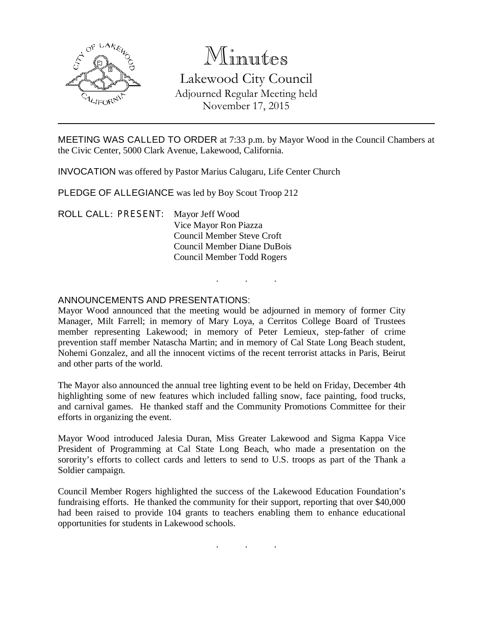

# Minutes

Lakewood City Council Adjourned Regular Meeting held November 17, 2015

MEETING WAS CALLED TO ORDER at 7:33 p.m. by Mayor Wood in the Council Chambers at the Civic Center, 5000 Clark Avenue, Lakewood, California.

INVOCATION was offered by Pastor Marius Calugaru, Life Center Church

PLEDGE OF ALLEGIANCE was led by Boy Scout Troop 212

ROLL CALL: PRESENT: Mayor Jeff Wood Vice Mayor Ron Piazza Council Member Steve Croft Council Member Diane DuBois Council Member Todd Rogers

## ANNOUNCEMENTS AND PRESENTATIONS:

Mayor Wood announced that the meeting would be adjourned in memory of former City Manager, Milt Farrell; in memory of Mary Loya, a Cerritos College Board of Trustees member representing Lakewood; in memory of Peter Lemieux, step-father of crime prevention staff member Natascha Martin; and in memory of Cal State Long Beach student, Nohemi Gonzalez, and all the innocent victims of the recent terrorist attacks in Paris, Beirut and other parts of the world.

. . .

The Mayor also announced the annual tree lighting event to be held on Friday, December 4th highlighting some of new features which included falling snow, face painting, food trucks, and carnival games. He thanked staff and the Community Promotions Committee for their efforts in organizing the event.

Mayor Wood introduced Jalesia Duran, Miss Greater Lakewood and Sigma Kappa Vice President of Programming at Cal State Long Beach, who made a presentation on the sorority's efforts to collect cards and letters to send to U.S. troops as part of the Thank a Soldier campaign.

Council Member Rogers highlighted the success of the Lakewood Education Foundation's fundraising efforts. He thanked the community for their support, reporting that over \$40,000 had been raised to provide 104 grants to teachers enabling them to enhance educational opportunities for students in Lakewood schools.

. . .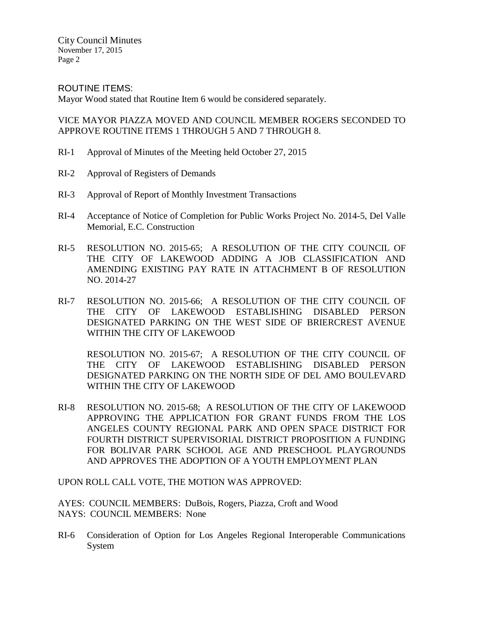ROUTINE ITEMS:

Mayor Wood stated that Routine Item 6 would be considered separately.

VICE MAYOR PIAZZA MOVED AND COUNCIL MEMBER ROGERS SECONDED TO APPROVE ROUTINE ITEMS 1 THROUGH 5 AND 7 THROUGH 8.

- RI-1 Approval of Minutes of the Meeting held October 27, 2015
- RI-2 Approval of Registers of Demands
- RI-3 Approval of Report of Monthly Investment Transactions
- RI-4 Acceptance of Notice of Completion for Public Works Project No. 2014-5, Del Valle Memorial, E.C. Construction
- RI-5 RESOLUTION NO. 2015-65; A RESOLUTION OF THE CITY COUNCIL OF THE CITY OF LAKEWOOD ADDING A JOB CLASSIFICATION AND AMENDING EXISTING PAY RATE IN ATTACHMENT B OF RESOLUTION NO. 2014-27
- RI-7 RESOLUTION NO. 2015-66; A RESOLUTION OF THE CITY COUNCIL OF THE CITY OF LAKEWOOD ESTABLISHING DISABLED PERSON DESIGNATED PARKING ON THE WEST SIDE OF BRIERCREST AVENUE WITHIN THE CITY OF LAKEWOOD

RESOLUTION NO. 2015-67; A RESOLUTION OF THE CITY COUNCIL OF THE CITY OF LAKEWOOD ESTABLISHING DISABLED PERSON DESIGNATED PARKING ON THE NORTH SIDE OF DEL AMO BOULEVARD WITHIN THE CITY OF LAKEWOOD

RI-8 RESOLUTION NO. 2015-68; A RESOLUTION OF THE CITY OF LAKEWOOD APPROVING THE APPLICATION FOR GRANT FUNDS FROM THE LOS ANGELES COUNTY REGIONAL PARK AND OPEN SPACE DISTRICT FOR FOURTH DISTRICT SUPERVISORIAL DISTRICT PROPOSITION A FUNDING FOR BOLIVAR PARK SCHOOL AGE AND PRESCHOOL PLAYGROUNDS AND APPROVES THE ADOPTION OF A YOUTH EMPLOYMENT PLAN

UPON ROLL CALL VOTE, THE MOTION WAS APPROVED:

AYES: COUNCIL MEMBERS: DuBois, Rogers, Piazza, Croft and Wood NAYS: COUNCIL MEMBERS: None

RI-6 Consideration of Option for Los Angeles Regional Interoperable Communications System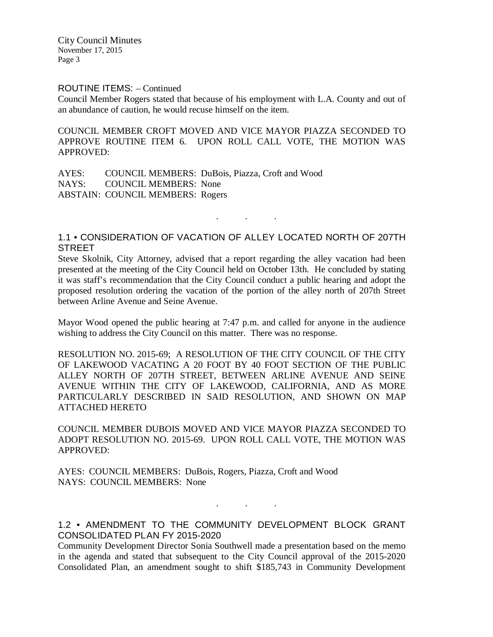#### ROUTINE ITEMS: – Continued

Council Member Rogers stated that because of his employment with L.A. County and out of an abundance of caution, he would recuse himself on the item.

COUNCIL MEMBER CROFT MOVED AND VICE MAYOR PIAZZA SECONDED TO APPROVE ROUTINE ITEM 6. UPON ROLL CALL VOTE, THE MOTION WAS APPROVED:

AYES: COUNCIL MEMBERS: DuBois, Piazza, Croft and Wood NAYS: COUNCIL MEMBERS: None ABSTAIN: COUNCIL MEMBERS: Rogers

## 1.1 • CONSIDERATION OF VACATION OF ALLEY LOCATED NORTH OF 207TH **STREET**

. . .

Steve Skolnik, City Attorney, advised that a report regarding the alley vacation had been presented at the meeting of the City Council held on October 13th. He concluded by stating it was staff's recommendation that the City Council conduct a public hearing and adopt the proposed resolution ordering the vacation of the portion of the alley north of 207th Street between Arline Avenue and Seine Avenue.

Mayor Wood opened the public hearing at 7:47 p.m. and called for anyone in the audience wishing to address the City Council on this matter. There was no response.

RESOLUTION NO. 2015-69; A RESOLUTION OF THE CITY COUNCIL OF THE CITY OF LAKEWOOD VACATING A 20 FOOT BY 40 FOOT SECTION OF THE PUBLIC ALLEY NORTH OF 207TH STREET, BETWEEN ARLINE AVENUE AND SEINE AVENUE WITHIN THE CITY OF LAKEWOOD, CALIFORNIA, AND AS MORE PARTICULARLY DESCRIBED IN SAID RESOLUTION, AND SHOWN ON MAP ATTACHED HERETO

COUNCIL MEMBER DUBOIS MOVED AND VICE MAYOR PIAZZA SECONDED TO ADOPT RESOLUTION NO. 2015-69. UPON ROLL CALL VOTE, THE MOTION WAS APPROVED:

AYES: COUNCIL MEMBERS: DuBois, Rogers, Piazza, Croft and Wood NAYS: COUNCIL MEMBERS: None

1.2 • AMENDMENT TO THE COMMUNITY DEVELOPMENT BLOCK GRANT CONSOLIDATED PLAN FY 2015-2020

. . .

Community Development Director Sonia Southwell made a presentation based on the memo in the agenda and stated that subsequent to the City Council approval of the 2015-2020 Consolidated Plan, an amendment sought to shift \$185,743 in Community Development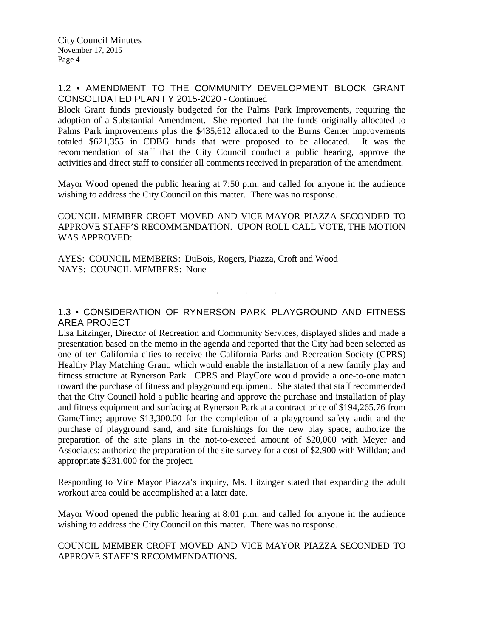#### 1.2 • AMENDMENT TO THE COMMUNITY DEVELOPMENT BLOCK GRANT CONSOLIDATED PLAN FY 2015-2020 - Continued

Block Grant funds previously budgeted for the Palms Park Improvements, requiring the adoption of a Substantial Amendment. She reported that the funds originally allocated to Palms Park improvements plus the \$435,612 allocated to the Burns Center improvements totaled \$621,355 in CDBG funds that were proposed to be allocated. It was the recommendation of staff that the City Council conduct a public hearing, approve the activities and direct staff to consider all comments received in preparation of the amendment.

Mayor Wood opened the public hearing at 7:50 p.m. and called for anyone in the audience wishing to address the City Council on this matter. There was no response.

COUNCIL MEMBER CROFT MOVED AND VICE MAYOR PIAZZA SECONDED TO APPROVE STAFF'S RECOMMENDATION. UPON ROLL CALL VOTE, THE MOTION WAS APPROVED:

AYES: COUNCIL MEMBERS: DuBois, Rogers, Piazza, Croft and Wood NAYS: COUNCIL MEMBERS: None

#### 1.3 • CONSIDERATION OF RYNERSON PARK PLAYGROUND AND FITNESS AREA PROJECT

 $\mathbf{r}$  .  $\mathbf{r}$  ,  $\mathbf{r}$  ,  $\mathbf{r}$  ,  $\mathbf{r}$  ,  $\mathbf{r}$ 

Lisa Litzinger, Director of Recreation and Community Services, displayed slides and made a presentation based on the memo in the agenda and reported that the City had been selected as one of ten California cities to receive the California Parks and Recreation Society (CPRS) Healthy Play Matching Grant, which would enable the installation of a new family play and fitness structure at Rynerson Park. CPRS and PlayCore would provide a one-to-one match toward the purchase of fitness and playground equipment. She stated that staff recommended that the City Council hold a public hearing and approve the purchase and installation of play and fitness equipment and surfacing at Rynerson Park at a contract price of \$194,265.76 from GameTime; approve \$13,300.00 for the completion of a playground safety audit and the purchase of playground sand, and site furnishings for the new play space; authorize the preparation of the site plans in the not-to-exceed amount of \$20,000 with Meyer and Associates; authorize the preparation of the site survey for a cost of \$2,900 with Willdan; and appropriate \$231,000 for the project.

Responding to Vice Mayor Piazza's inquiry, Ms. Litzinger stated that expanding the adult workout area could be accomplished at a later date.

Mayor Wood opened the public hearing at 8:01 p.m. and called for anyone in the audience wishing to address the City Council on this matter. There was no response.

## COUNCIL MEMBER CROFT MOVED AND VICE MAYOR PIAZZA SECONDED TO APPROVE STAFF'S RECOMMENDATIONS.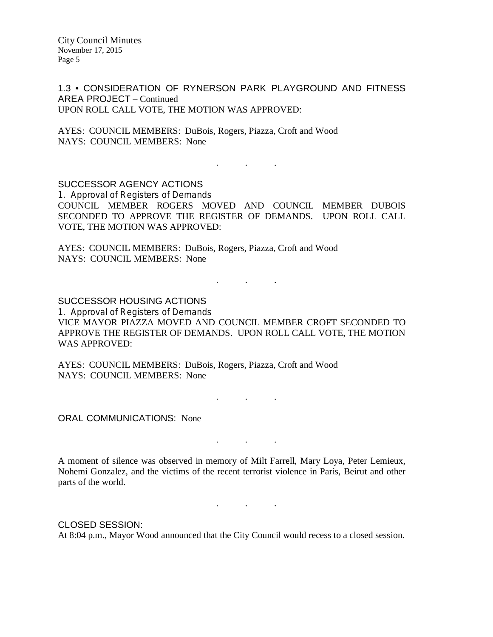1.3 • CONSIDERATION OF RYNERSON PARK PLAYGROUND AND FITNESS AREA PROJECT – Continued UPON ROLL CALL VOTE, THE MOTION WAS APPROVED:

AYES: COUNCIL MEMBERS: DuBois, Rogers, Piazza, Croft and Wood NAYS: COUNCIL MEMBERS: None

SUCCESSOR AGENCY ACTIONS 1. Approval of Registers of Demands COUNCIL MEMBER ROGERS MOVED AND COUNCIL MEMBER DUBOIS SECONDED TO APPROVE THE REGISTER OF DEMANDS. UPON ROLL CALL VOTE, THE MOTION WAS APPROVED:

. . .

AYES: COUNCIL MEMBERS: DuBois, Rogers, Piazza, Croft and Wood NAYS: COUNCIL MEMBERS: None

SUCCESSOR HOUSING ACTIONS

1. Approval of Registers of Demands VICE MAYOR PIAZZA MOVED AND COUNCIL MEMBER CROFT SECONDED TO APPROVE THE REGISTER OF DEMANDS. UPON ROLL CALL VOTE, THE MOTION WAS APPROVED:

. . .

AYES: COUNCIL MEMBERS: DuBois, Rogers, Piazza, Croft and Wood NAYS: COUNCIL MEMBERS: None

. . .

. . .

. . .

ORAL COMMUNICATIONS: None

A moment of silence was observed in memory of Milt Farrell, Mary Loya, Peter Lemieux, Nohemi Gonzalez, and the victims of the recent terrorist violence in Paris, Beirut and other parts of the world.

CLOSED SESSION: At 8:04 p.m., Mayor Wood announced that the City Council would recess to a closed session.